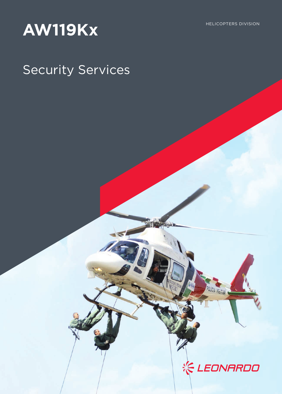# AW119Kx

## Security Services



ICIA MILITAR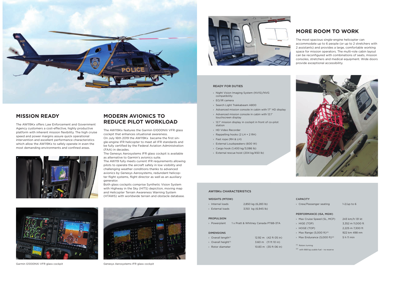## **MODERN AVIONICS TO REDUCE PILOT WORKLOAD**

The AW119Kx features the Garmin G1000NXi VFR glass cockpit that enhances situational awareness. On July 16th 2019 the AW119Kx became the first single-engine IFR helicopter to meet all IFR standards and be fully certified by the Federal Aviation Administration (FAA) in decades.

The Genesys Aerosystems IFR glass cockpit is available as alternative to Garmin's avionics suite.

The AW119 fully meets current IFR requirements allowing pilots to operate the aircraft safely in low visibility and challenging weather conditions thanks to advanced avionics by Genesys Aerosystems, redundant helicopter flight systems, flight director as well as an auxiliary generator.

Both glass cockpits comprise Synthetic Vision System with Highway in the Sky (HITS) depiction, moving map and Helicopter Terrain Awareness Warning System (HTAWS) with worldwide terrain and obstacle database.





Garmin G1000NXi VFR glass cockpit Genesys Aerosystems IFR glass cockpit



- › Max Cruise Speed (SL, MCP) 243 km/h 131 kt
- 
- 
- $\rightarrow$  Max Range (5,000 ft)<sup>(2)</sup> 922 km 498 nm
- $\rightarrow$  Max Endurance (5,000 ft)<sup>(2)</sup> 5 h 11 min

## **MORE ROOM TO WORK**

The most spacious single-engine helicopter can accommodate up to 6 people (or up to 2 stretchers with 2 assistants) and provides a large, comfortable working space for mission operators. The multi-role cabin layout can be reconfigured with combinations of seats, mission consoles, stretchers and medical equipment. Wide doors provide exceptional accessibility.



#### **CAPACITY**

#### WEIGHTS (MTOW)

- › Internal loads 2,850 kg (6,283 lb) › External loads 3,150 kg (6,945 lb)
	-
	-
- 

#### PROPULSION

DIMENSIONS

- › Powerplant 1 x Pratt & Whitney Canada PT6B-37A
- $\rightarrow$  Overall length<sup>(1)</sup> 12.92 m (42 ft 05 in)  $\rightarrow$  Overall height<sup>(1)</sup> 3.60 m (11 ft 10 in)
- 
- › Rotor diameter 10.83 m (35 ft 06 in)

› Crew/Passenger seating 1-2/up to 6

#### PERFORMANCE (ISA, MGW)

› HIGE (TOP) 3,352 m 11,000 ft › HOGE (TOP) 2,225 m 7,300 ft

(1) Rotors turning

(2) with 668 kg usable fuel - no reserve

#### AW119Kx CHARACTERISTICS



## **MISSION READY**

The AW119Kx offers Law Enforcement and Government Agency customers a cost-effective, highly productive platform with inherent mission flexibility. The high cruise speed and power margins assure quick operational intervention and excellent performance characteristics which allow the AW119Kx to safely operate in even the most demanding environments and confined areas.



#### READY FOR DUTIES

- › Night Vision Imaging System (NVIS)/NVG compatibility
- › EO/IR camera
- › Search Light Trakkabeam A800
- › Advanced mission console in cabin with 17" HD display
- › Advanced mission console in cabin with 12.1" touchscreen display
- › 12.1" mission display in cockpit in front of co-pilot station
- › HD Video Recorder
- › Rappelling hooks (2 LH + 2 RH)
- › Fast rope (RH & LH)
- › External Loudspeakers (600 W)
- › Cargo hook (1,400 kg/3,086 lb)
- › External rescue hoist (204 kg/450 lb)